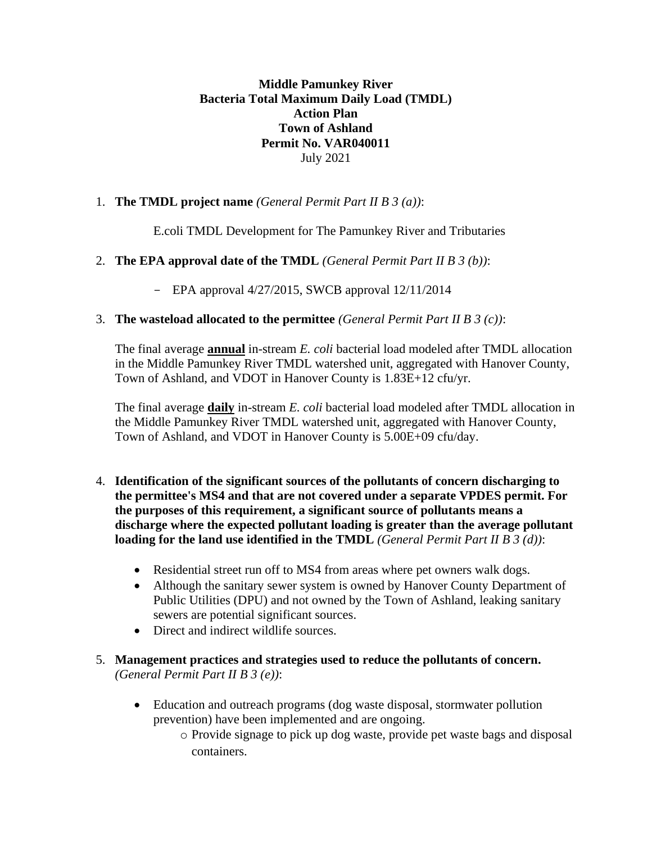**Middle Pamunkey River Bacteria Total Maximum Daily Load (TMDL) Action Plan Town of Ashland Permit No. VAR040011** July 2021

## 1. **The TMDL project name** *(General Permit Part II B 3 (a))*:

E.coli TMDL Development for The Pamunkey River and Tributaries

## 2. **The EPA approval date of the TMDL** *(General Permit Part II B 3 (b))*:

- EPA approval 4/27/2015, SWCB approval 12/11/2014

## 3. **The wasteload allocated to the permittee** *(General Permit Part II B 3 (c))*:

The final average **annual** in-stream *E. coli* bacterial load modeled after TMDL allocation in the Middle Pamunkey River TMDL watershed unit, aggregated with Hanover County, Town of Ashland, and VDOT in Hanover County is 1.83E+12 cfu/yr.

The final average **daily** in-stream *E. coli* bacterial load modeled after TMDL allocation in the Middle Pamunkey River TMDL watershed unit, aggregated with Hanover County, Town of Ashland, and VDOT in Hanover County is 5.00E+09 cfu/day.

- 4. **Identification of the significant sources of the pollutants of concern discharging to the permittee's MS4 and that are not covered under a separate VPDES permit. For the purposes of this requirement, a significant source of pollutants means a discharge where the expected pollutant loading is greater than the average pollutant loading for the land use identified in the TMDL** *(General Permit Part II B 3 (d))*:
	- Residential street run off to MS4 from areas where pet owners walk dogs.
	- Although the sanitary sewer system is owned by Hanover County Department of Public Utilities (DPU) and not owned by the Town of Ashland, leaking sanitary sewers are potential significant sources.
	- Direct and indirect wildlife sources.
- 5. **Management practices and strategies used to reduce the pollutants of concern.** *(General Permit Part II B 3 (e))*:
	- Education and outreach programs (dog waste disposal, stormwater pollution prevention) have been implemented and are ongoing.
		- o Provide signage to pick up dog waste, provide pet waste bags and disposal containers.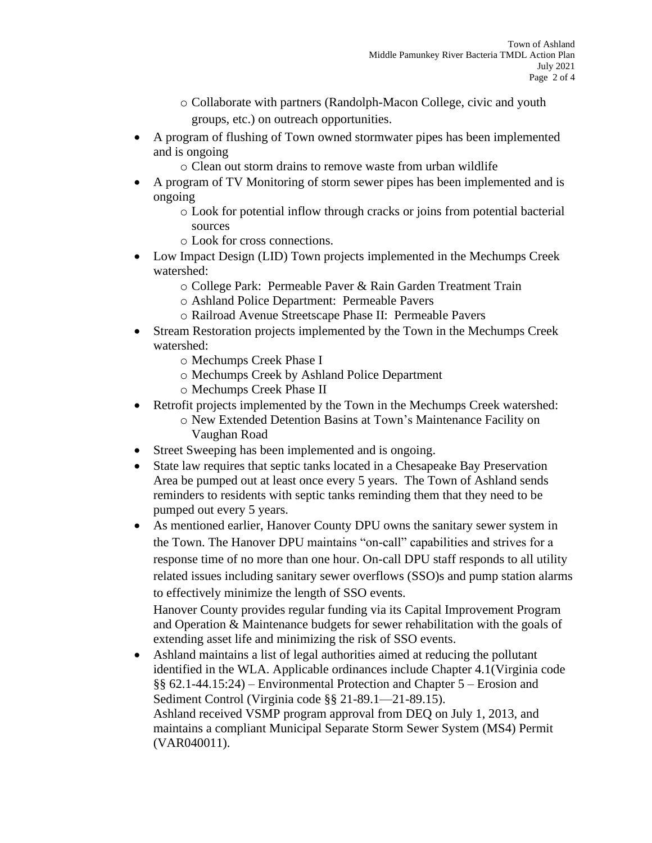- o Collaborate with partners (Randolph-Macon College, civic and youth groups, etc.) on outreach opportunities.
- A program of flushing of Town owned stormwater pipes has been implemented and is ongoing
	- o Clean out storm drains to remove waste from urban wildlife
- A program of TV Monitoring of storm sewer pipes has been implemented and is ongoing
	- o Look for potential inflow through cracks or joins from potential bacterial sources
	- o Look for cross connections.
- Low Impact Design (LID) Town projects implemented in the Mechumps Creek watershed:
	- o College Park: Permeable Paver & Rain Garden Treatment Train
	- o Ashland Police Department: Permeable Pavers
	- o Railroad Avenue Streetscape Phase II: Permeable Pavers
- Stream Restoration projects implemented by the Town in the Mechumps Creek watershed:
	- o Mechumps Creek Phase I
	- o Mechumps Creek by Ashland Police Department
	- o Mechumps Creek Phase II
- Retrofit projects implemented by the Town in the Mechumps Creek watershed: o New Extended Detention Basins at Town's Maintenance Facility on Vaughan Road
- Street Sweeping has been implemented and is ongoing.
- State law requires that septic tanks located in a Chesapeake Bay Preservation Area be pumped out at least once every 5 years. The Town of Ashland sends reminders to residents with septic tanks reminding them that they need to be pumped out every 5 years.
- As mentioned earlier, Hanover County DPU owns the sanitary sewer system in the Town. The Hanover DPU maintains "on-call" capabilities and strives for a response time of no more than one hour. On-call DPU staff responds to all utility related issues including sanitary sewer overflows (SSO)s and pump station alarms to effectively minimize the length of SSO events.

Hanover County provides regular funding via its Capital Improvement Program and Operation & Maintenance budgets for sewer rehabilitation with the goals of extending asset life and minimizing the risk of SSO events.

• Ashland maintains a list of legal authorities aimed at reducing the pollutant identified in the WLA. Applicable ordinances include Chapter 4.1(Virginia code §§ 62.1-44.15:24) – Environmental Protection and Chapter 5 – Erosion and Sediment Control (Virginia code §§ 21-89.1—21-89.15). Ashland received VSMP program approval from DEQ on July 1, 2013, and maintains a compliant Municipal Separate Storm Sewer System (MS4) Permit (VAR040011).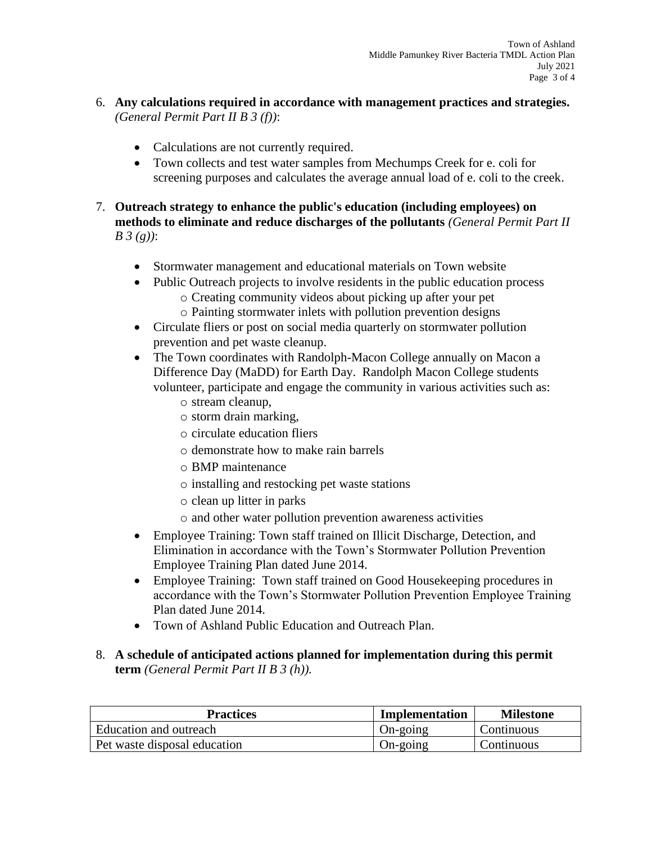- 6. **Any calculations required in accordance with management practices and strategies.** *(General Permit Part II B 3 (f))*:
	- Calculations are not currently required.
	- Town collects and test water samples from Mechumps Creek for e. coli for screening purposes and calculates the average annual load of e. coli to the creek.
- 7. **Outreach strategy to enhance the public's education (including employees) on methods to eliminate and reduce discharges of the pollutants** *(General Permit Part II B 3 (g))*:
	- Stormwater management and educational materials on Town website
	- Public Outreach projects to involve residents in the public education process
		- o Creating community videos about picking up after your pet
		- o Painting stormwater inlets with pollution prevention designs
	- Circulate fliers or post on social media quarterly on stormwater pollution prevention and pet waste cleanup.
	- The Town coordinates with Randolph-Macon College annually on Macon a Difference Day (MaDD) for Earth Day. Randolph Macon College students volunteer, participate and engage the community in various activities such as:
		- o stream cleanup,
		- o storm drain marking,
		- o circulate education fliers
		- o demonstrate how to make rain barrels
		- o BMP maintenance
		- o installing and restocking pet waste stations
		- o clean up litter in parks
		- o and other water pollution prevention awareness activities
	- Employee Training: Town staff trained on Illicit Discharge, Detection, and Elimination in accordance with the Town's Stormwater Pollution Prevention Employee Training Plan dated June 2014.
	- Employee Training: Town staff trained on Good Housekeeping procedures in accordance with the Town's Stormwater Pollution Prevention Employee Training Plan dated June 2014.
	- Town of Ashland Public Education and Outreach Plan.
- 8. **A schedule of anticipated actions planned for implementation during this permit term** *(General Permit Part II B 3 (h)).*

| <b>Practices</b>             | <b>Implementation</b> | <b>Milestone</b> |
|------------------------------|-----------------------|------------------|
| Education and outreach       | On-going              | Continuous       |
| Pet waste disposal education | On-going              | Continuous       |